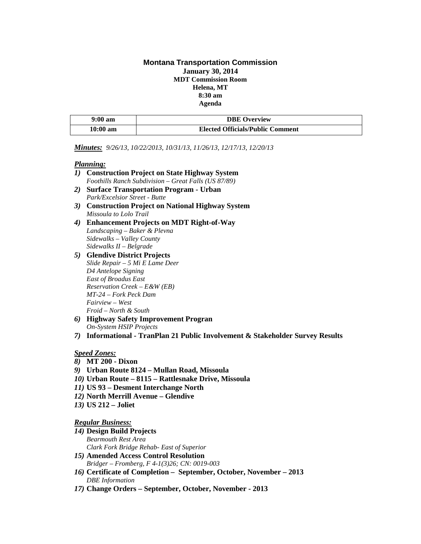## **Montana Transportation Commission January 30, 2014 MDT Commission Room Helena, MT 8:30 am Agenda**

| $9:00 \text{ am}$  | <b>DBE</b> Overview                     |
|--------------------|-----------------------------------------|
| $10:00 \text{ am}$ | <b>Elected Officials/Public Comment</b> |

*Minutes: 9/26/13, 10/22/2013, 10/31/13, 11/26/13, 12/17/13, 12/20/13*

## *Planning:*

|    | 1) Construction Project on State Highway System      |
|----|------------------------------------------------------|
|    | Foothills Ranch Subdivision - Great Falls (US 87/89) |
| 2) | <b>Surface Transportation Program - Urban</b>        |
|    | Park/Excelsior Street - Butte                        |
|    | 3) Construction Project on National Highway System   |
|    | Missoula to Lolo Trail                               |
| 4) | <b>Enhancement Projects on MDT Right-of-Way</b>      |
|    | Landscaping – Baker & Plevna                         |
|    | Sidewalks – Valley County                            |
|    | Sidewalks $II - Belgrade$                            |
|    | 5) Glendive District Projects                        |
|    | Slide Repair – 5 Mi E Lame Deer                      |
|    | D4 Antelope Signing                                  |
|    | <b>East of Broadus East</b>                          |
|    | <i>Reservation Creek – E&amp;W (EB)</i>              |
|    | MT-24 – Fork Peck Dam                                |
|    |                                                      |

*Fairview – West Froid – North & South*

- *6)* **Highway Safety Improvement Progran** *On-System HSIP Projects*
- *7)* **Informational - TranPlan 21 Public Involvement & Stakeholder Survey Results**

*Speed Zones:*

- *8)* **MT 200 - Dixon**
- *9)* **Urban Route 8124 – Mullan Road, Missoula**
- *10)* **Urban Route – 8115 – Rattlesnake Drive, Missoula**
- *11)* **US 93 – Desment Interchange North**
- *12)* **North Merrill Avenue – Glendive**
- *13)* **US 212 – Joliet**

## *Regular Business:*

- *14)* **Design Build Projects** *Bearmouth Rest Area Clark Fork Bridge Rehab- East of Superior*
- *15)* **Amended Access Control Resolution** *Bridger – Fromberg, F 4-1(3)26; CN: 0019-003*
- *16)* **Certificate of Completion – September, October, November – 2013** *DBE Information*
- *17)* **Change Orders – September, October, November - 2013**